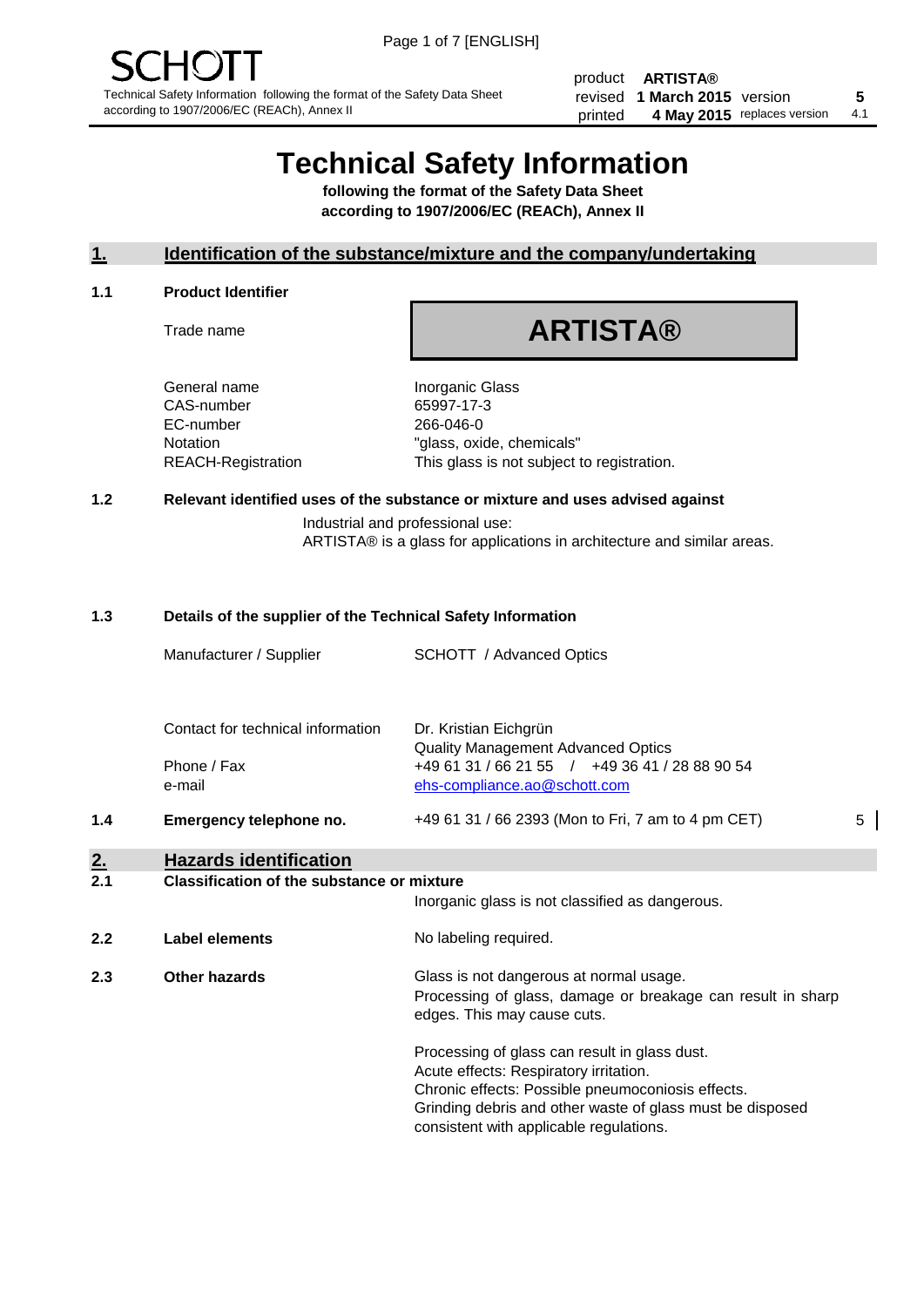product **ARTISTA®** revised **5 1 March 2015** version printed 4 May 2015 replaces version 4.1

## **Technical Safety Information**

**following the format of the Safety Data Sheet according to 1907/2006/EC (REACh), Annex II**

#### **1. Identification of the substance/mixture and the company/undertaking**

#### **1.1 Product Identifier**

Trade name

# **ARTISTA®**

General name **Inorganic Glass** CAS-number 65997-17-3 EC-number 266-046-0

Notation "glass, oxide, chemicals" REACH-Registration This glass is not subject to registration.

#### **1.2 Relevant identified uses of the substance or mixture and uses advised against**

Industrial and professional use: ARTISTA® is a glass for applications in architecture and similar areas.

## **1.3 Details of the supplier of the Technical Safety Information**

|                  | Manufacturer / Supplier                           | SCHOTT / Advanced Optics                                                                                                                                                                                                                             |   |
|------------------|---------------------------------------------------|------------------------------------------------------------------------------------------------------------------------------------------------------------------------------------------------------------------------------------------------------|---|
|                  |                                                   |                                                                                                                                                                                                                                                      |   |
|                  | Contact for technical information                 | Dr. Kristian Eichgrün<br><b>Quality Management Advanced Optics</b>                                                                                                                                                                                   |   |
|                  | Phone / Fax<br>e-mail                             | +49 61 31 / 66 21 55 / +49 36 41 / 28 88 90 54<br>ehs-compliance.ao@schott.com                                                                                                                                                                       |   |
| 1.4              | Emergency telephone no.                           | +49 61 31 / 66 2393 (Mon to Fri, 7 am to 4 pm CET)                                                                                                                                                                                                   | 5 |
| <u>2.</u><br>2.1 | <b>Hazards identification</b>                     |                                                                                                                                                                                                                                                      |   |
|                  | <b>Classification of the substance or mixture</b> | Inorganic glass is not classified as dangerous.                                                                                                                                                                                                      |   |
| 2.2              | <b>Label elements</b>                             | No labeling required.                                                                                                                                                                                                                                |   |
| 2.3              | Other hazards                                     | Glass is not dangerous at normal usage.<br>Processing of glass, damage or breakage can result in sharp<br>edges. This may cause cuts.                                                                                                                |   |
|                  |                                                   | Processing of glass can result in glass dust.<br>Acute effects: Respiratory irritation.<br>Chronic effects: Possible pneumoconiosis effects.<br>Grinding debris and other waste of glass must be disposed<br>consistent with applicable regulations. |   |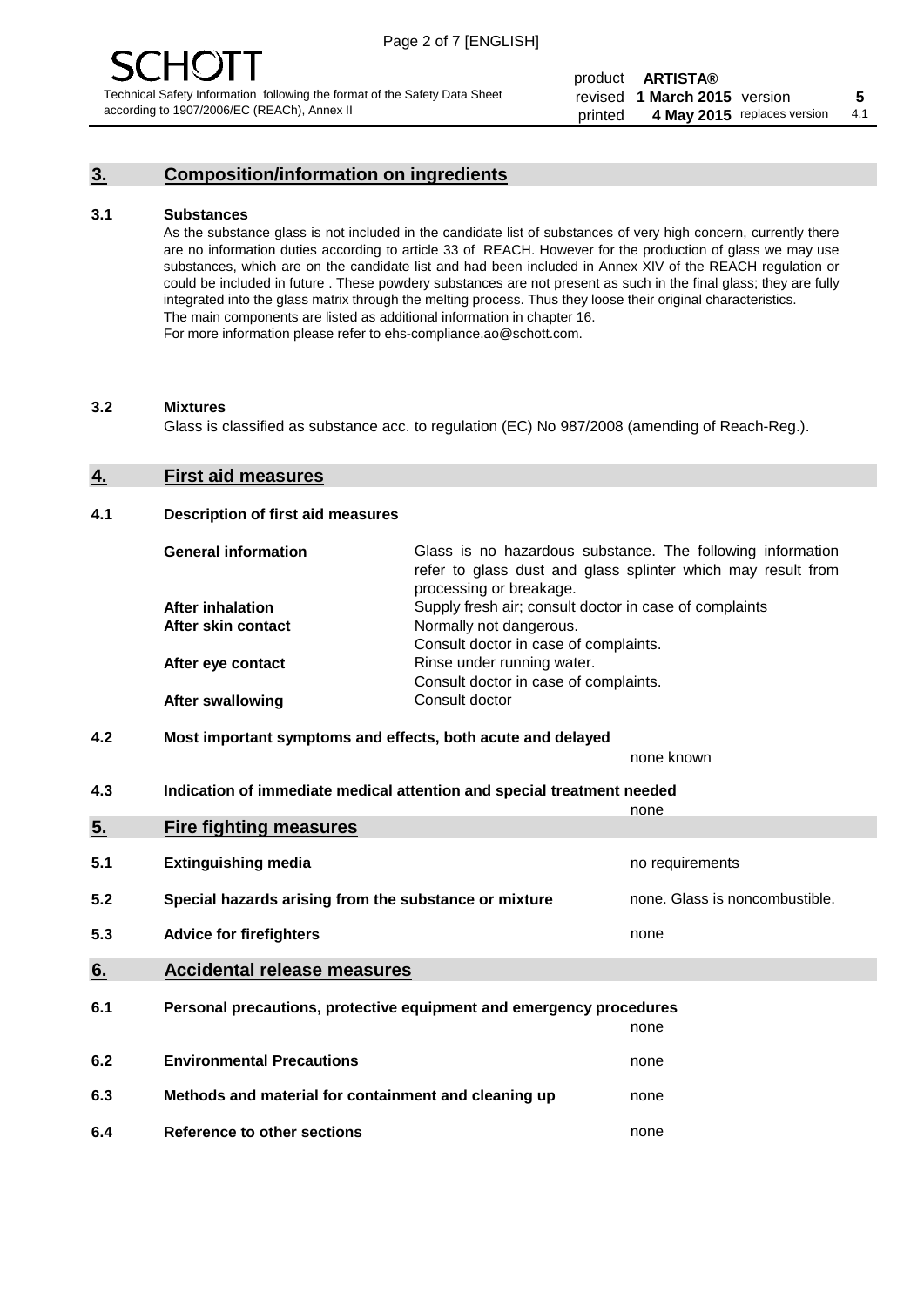### **3. Composition/information on ingredients**

#### **3.1 Substances**

As the substance glass is not included in the candidate list of substances of very high concern, currently there are no information duties according to article 33 of REACH. However for the production of glass we may use substances, which are on the candidate list and had been included in Annex XIV of the REACH regulation or could be included in future . These powdery substances are not present as such in the final glass; they are fully integrated into the glass matrix through the melting process. Thus they loose their original characteristics. The main components are listed as additional information in chapter 16. For more information please refer to ehs-compliance.ao@schott.com.

#### **3.2 Mixtures**

Glass is classified as substance acc. to regulation (EC) No 987/2008 (amending of Reach-Reg.).

#### **4. First aid measures**

#### **4.1 Description of first aid measures**

| <b>General information</b> | Glass is no hazardous substance. The following information<br>refer to glass dust and glass splinter which may result from<br>processing or breakage. |
|----------------------------|-------------------------------------------------------------------------------------------------------------------------------------------------------|
| <b>After inhalation</b>    | Supply fresh air; consult doctor in case of complaints                                                                                                |
| After skin contact         | Normally not dangerous.                                                                                                                               |
|                            | Consult doctor in case of complaints.                                                                                                                 |
| After eye contact          | Rinse under running water.                                                                                                                            |
|                            | Consult doctor in case of complaints.                                                                                                                 |
| <b>After swallowing</b>    | Consult doctor                                                                                                                                        |

#### **4.2 Most important symptoms and effects, both acute and delayed**

none known

**4.3 Indication of immediate medical attention and special treatment needed** 

|     |                                                                     | none                           |  |
|-----|---------------------------------------------------------------------|--------------------------------|--|
| 5.  | <b>Fire fighting measures</b>                                       |                                |  |
| 5.1 | <b>Extinguishing media</b>                                          | no requirements                |  |
| 5.2 | Special hazards arising from the substance or mixture               | none. Glass is noncombustible. |  |
| 5.3 | <b>Advice for firefighters</b>                                      | none                           |  |
| 6.  | <b>Accidental release measures</b>                                  |                                |  |
| 6.1 | Personal precautions, protective equipment and emergency procedures |                                |  |
|     |                                                                     | none                           |  |
| 6.2 | <b>Environmental Precautions</b>                                    | none                           |  |
| 6.3 | Methods and material for containment and cleaning up                | none                           |  |
| 6.4 | Reference to other sections                                         | none                           |  |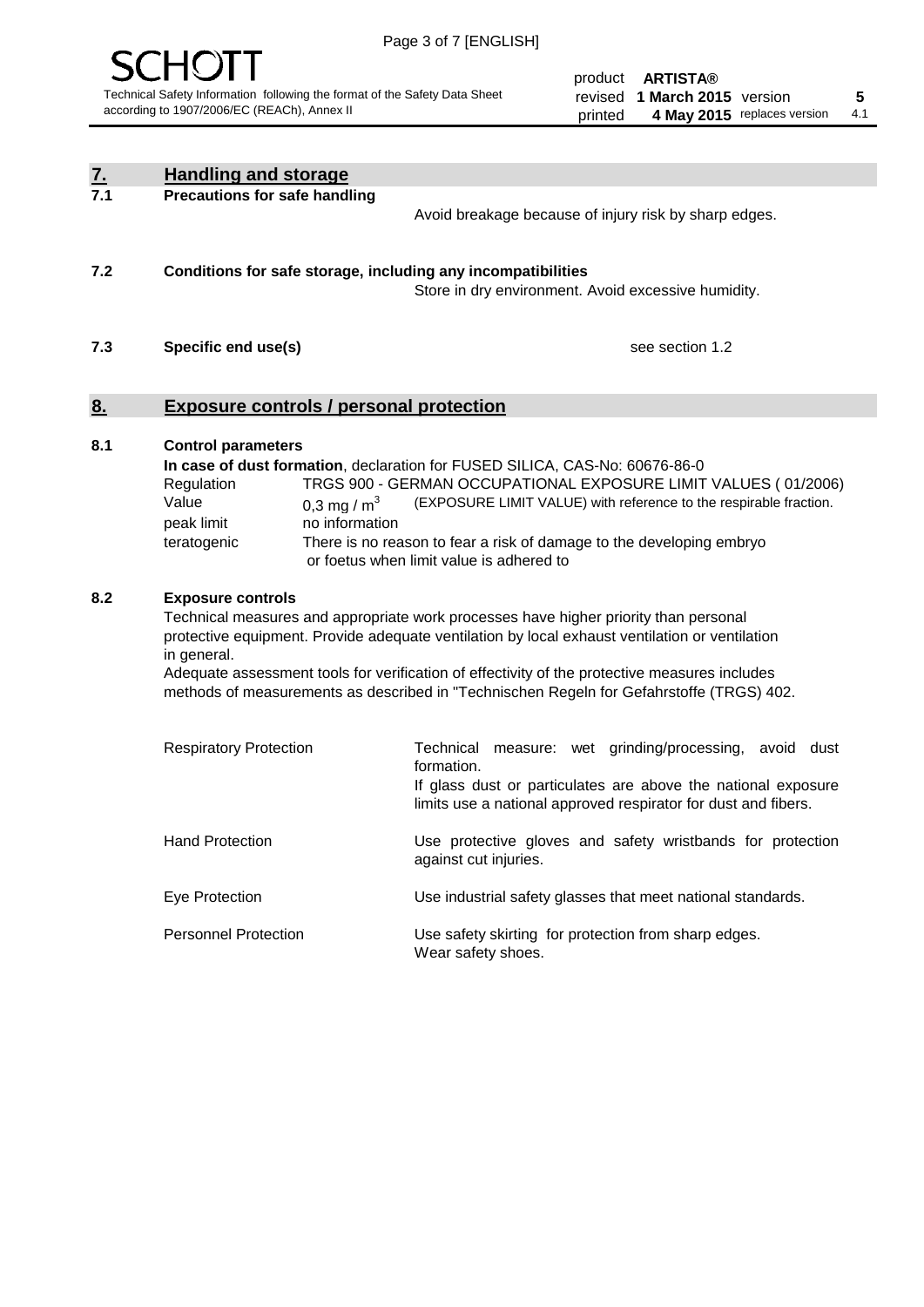

product **ARTISTA®** revised **5 1 March 2015** version printed 4 May 2015 replaces version 4.1

| $\overline{7}$ . | <b>Handling and storage</b>                                                                                                                                                                                                                                                                                                                                                                                                    |                                 |                                                                                                                                                                                                                                                                                                                                        |
|------------------|--------------------------------------------------------------------------------------------------------------------------------------------------------------------------------------------------------------------------------------------------------------------------------------------------------------------------------------------------------------------------------------------------------------------------------|---------------------------------|----------------------------------------------------------------------------------------------------------------------------------------------------------------------------------------------------------------------------------------------------------------------------------------------------------------------------------------|
| 7.1              | <b>Precautions for safe handling</b>                                                                                                                                                                                                                                                                                                                                                                                           |                                 | Avoid breakage because of injury risk by sharp edges.                                                                                                                                                                                                                                                                                  |
| 7.2              |                                                                                                                                                                                                                                                                                                                                                                                                                                |                                 | Conditions for safe storage, including any incompatibilities<br>Store in dry environment. Avoid excessive humidity.                                                                                                                                                                                                                    |
| 7.3              | Specific end use(s)                                                                                                                                                                                                                                                                                                                                                                                                            |                                 | see section 1.2                                                                                                                                                                                                                                                                                                                        |
| 8.               | <b>Exposure controls / personal protection</b>                                                                                                                                                                                                                                                                                                                                                                                 |                                 |                                                                                                                                                                                                                                                                                                                                        |
| 8.1              | <b>Control parameters</b><br>Regulation<br>Value<br>peak limit<br>teratogenic                                                                                                                                                                                                                                                                                                                                                  | 0,3 mg / $m3$<br>no information | In case of dust formation, declaration for FUSED SILICA, CAS-No: 60676-86-0<br>TRGS 900 - GERMAN OCCUPATIONAL EXPOSURE LIMIT VALUES (01/2006)<br>(EXPOSURE LIMIT VALUE) with reference to the respirable fraction.<br>There is no reason to fear a risk of damage to the developing embryo<br>or foetus when limit value is adhered to |
| 8.2              | <b>Exposure controls</b><br>Technical measures and appropriate work processes have higher priority than personal<br>protective equipment. Provide adequate ventilation by local exhaust ventilation or ventilation<br>in general.<br>Adequate assessment tools for verification of effectivity of the protective measures includes<br>methods of measurements as described in "Technischen Regeln for Gefahrstoffe (TRGS) 402. |                                 |                                                                                                                                                                                                                                                                                                                                        |
|                  | <b>Respiratory Protection</b>                                                                                                                                                                                                                                                                                                                                                                                                  |                                 | Technical measure: wet grinding/processing, avoid dust<br>formation.<br>If glass dust or particulates are above the national exposure<br>limits use a national approved respirator for dust and fibers.                                                                                                                                |
|                  | <b>Hand Protection</b>                                                                                                                                                                                                                                                                                                                                                                                                         |                                 | Use protective gloves and safety wristbands for protection<br>against cut injuries.                                                                                                                                                                                                                                                    |
|                  | Eye Protection                                                                                                                                                                                                                                                                                                                                                                                                                 |                                 | Use industrial safety glasses that meet national standards.                                                                                                                                                                                                                                                                            |
|                  | <b>Personnel Protection</b>                                                                                                                                                                                                                                                                                                                                                                                                    |                                 | Use safety skirting for protection from sharp edges.<br>Wear safety shoes.                                                                                                                                                                                                                                                             |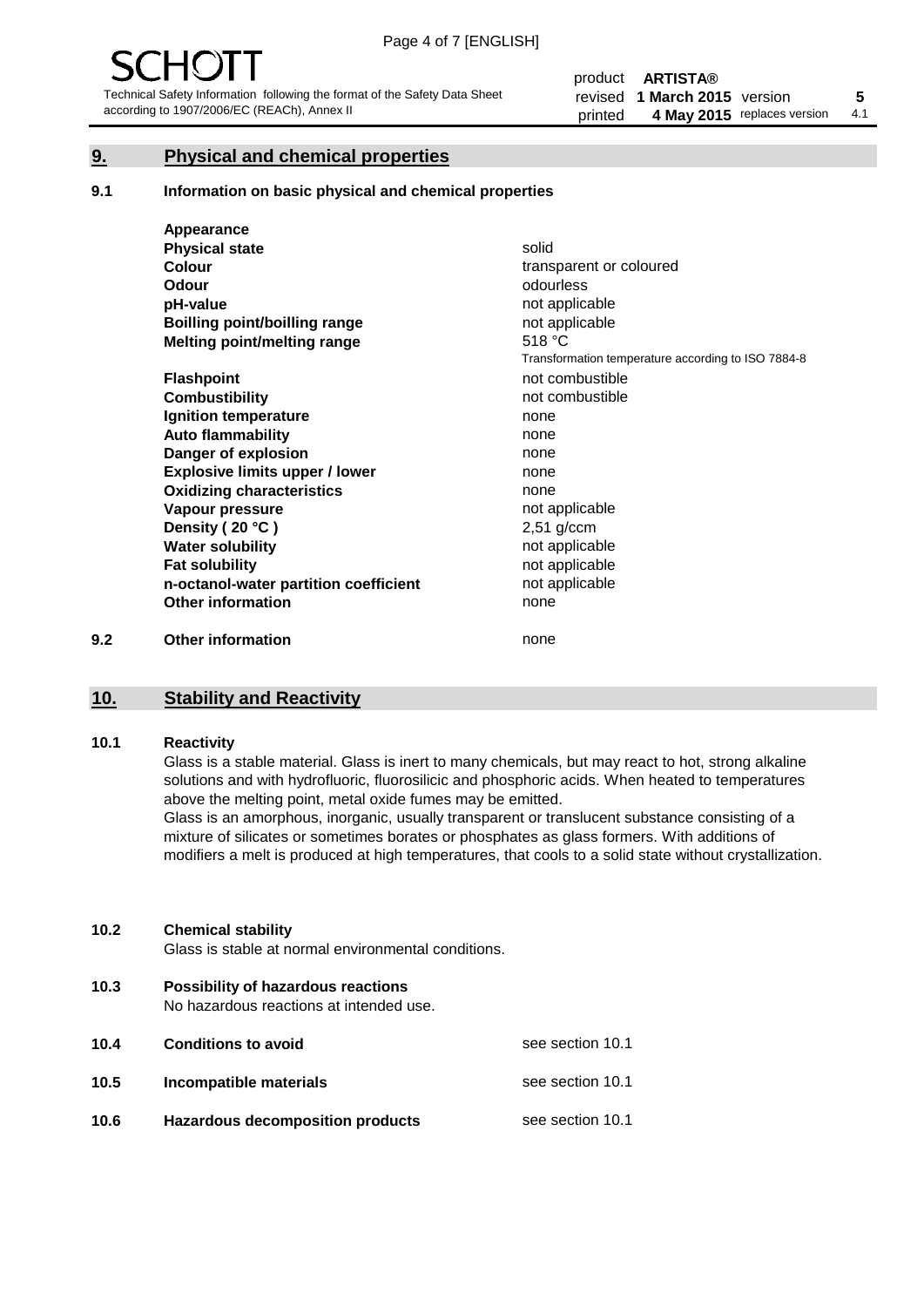#### **9. Physical and chemical properties**

#### **9.1 Information on basic physical and chemical properties**

|     | Appearance                            |                                                    |
|-----|---------------------------------------|----------------------------------------------------|
|     | <b>Physical state</b>                 | solid                                              |
|     | <b>Colour</b>                         | transparent or coloured                            |
|     | Odour                                 | odourless                                          |
|     | pH-value                              | not applicable                                     |
|     | <b>Boilling point/boilling range</b>  | not applicable                                     |
|     | Melting point/melting range           | 518 °C                                             |
|     |                                       | Transformation temperature according to ISO 7884-8 |
|     | <b>Flashpoint</b>                     | not combustible                                    |
|     | <b>Combustibility</b>                 | not combustible                                    |
|     | Ignition temperature                  | none                                               |
|     | <b>Auto flammability</b>              | none                                               |
|     | Danger of explosion                   | none                                               |
|     | <b>Explosive limits upper / lower</b> | none                                               |
|     | <b>Oxidizing characteristics</b>      | none                                               |
|     | Vapour pressure                       | not applicable                                     |
|     | Density (20 °C)                       | $2,51$ g/ccm                                       |
|     | <b>Water solubility</b>               | not applicable                                     |
|     | <b>Fat solubility</b>                 | not applicable                                     |
|     | n-octanol-water partition coefficient | not applicable                                     |
|     | <b>Other information</b>              | none                                               |
| 9.2 | <b>Other information</b>              | none                                               |

#### **10. Stability and Reactivity**

#### **10.1 Reactivity**

Glass is a stable material. Glass is inert to many chemicals, but may react to hot, strong alkaline solutions and with hydrofluoric, fluorosilicic and phosphoric acids. When heated to temperatures above the melting point, metal oxide fumes may be emitted.

Glass is an amorphous, inorganic, usually transparent or translucent substance consisting of a mixture of silicates or sometimes borates or phosphates as glass formers. With additions of modifiers a melt is produced at high temperatures, that cools to a solid state without crystallization.

#### **10.2 Chemical stability**

Glass is stable at normal environmental conditions.

**10.3 Possibility of hazardous reactions** 

No hazardous reactions at intended use.

| 10.4 | <b>Conditions to avoid</b>              | see section 10.1 |
|------|-----------------------------------------|------------------|
| 10.5 | Incompatible materials                  | see section 10.1 |
| 10.6 | <b>Hazardous decomposition products</b> | see section 10.1 |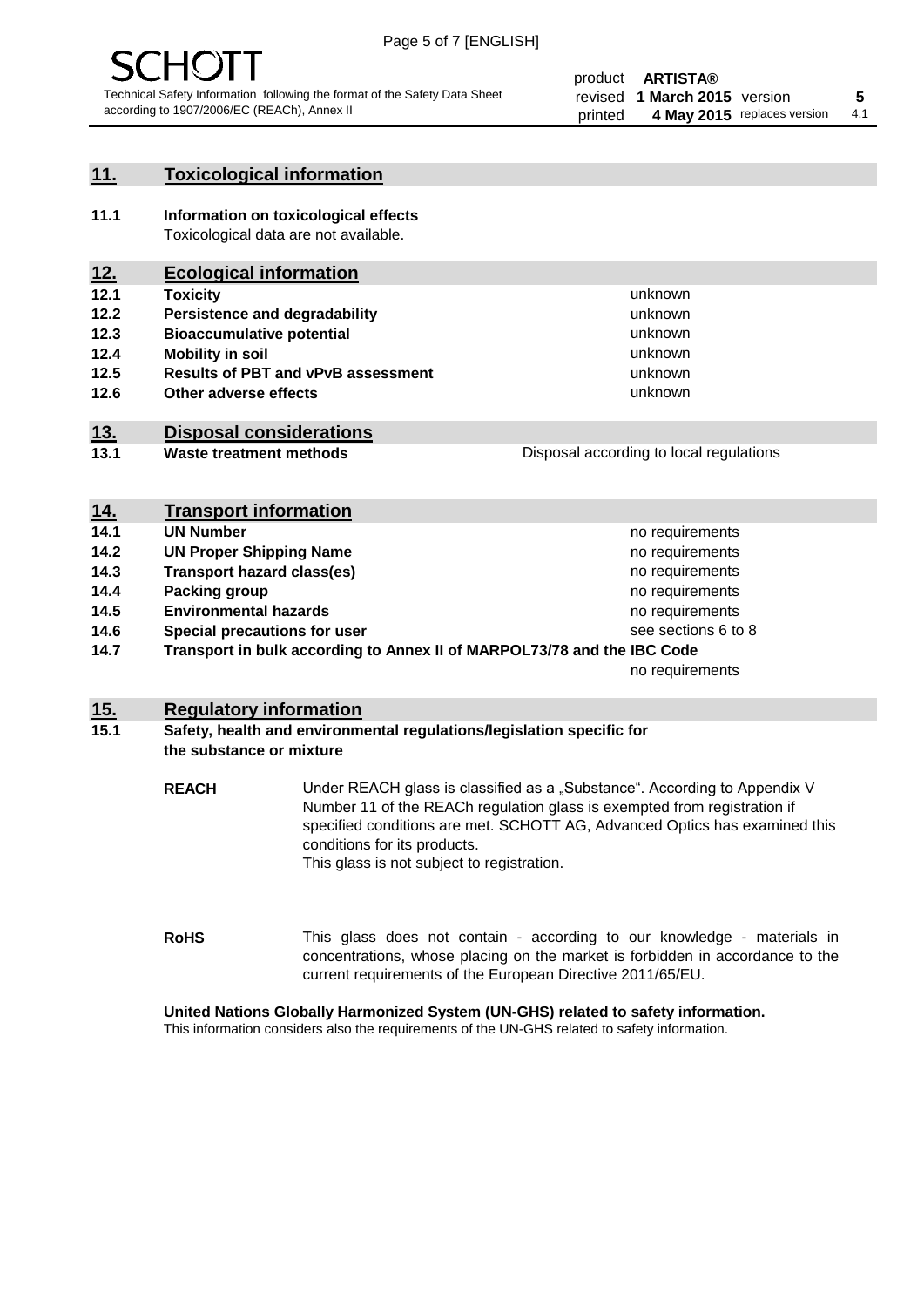

#### **11. Toxicological information**

**11.1 Information on toxicological effects** Toxicological data are not available.

#### **12. Ecological information**

- **12.1 Toxicity**
- **12.2 Persistence and degradability**
- **12.3 Bioaccumulative potential**
- **12.4 Mobility in soil**
- **12.5 Results of PBT and vPvB assessment**
- **12.6 Other adverse effects**

#### **13. Disposal considerations**

**13.1 Waste treatment methods**

Disposal according to local regulations

unknown unknown unknown unknown

unknown unknown

| <u>14.</u> | <b>Transport information</b>                                            |                     |
|------------|-------------------------------------------------------------------------|---------------------|
| 14.1       | <b>UN Number</b>                                                        | no requirements     |
| 14.2       | <b>UN Proper Shipping Name</b>                                          | no requirements     |
| 14.3       | <b>Transport hazard class(es)</b>                                       | no requirements     |
| 14.4       | Packing group                                                           | no requirements     |
| 14.5       | <b>Environmental hazards</b>                                            | no requirements     |
| 14.6       | Special precautions for user                                            | see sections 6 to 8 |
| 14.7       | Transport in bulk according to Annex II of MARPOL73/78 and the IBC Code |                     |
|            |                                                                         | no requirements     |

#### **15. Regulatory information**

#### **15.1 Safety, health and environmental regulations/legislation specific for the substance or mixture**

**REACH** Under REACH glass is classified as a "Substance". According to Appendix V Number 11 of the REACh regulation glass is exempted from registration if specified conditions are met. SCHOTT AG, Advanced Optics has examined this conditions for its products. This glass is not subject to registration.

**RoHS** This glass does not contain - according to our knowledge - materials in concentrations, whose placing on the market is forbidden in accordance to the current requirements of the European Directive 2011/65/EU.

#### **United Nations Globally Harmonized System (UN-GHS) related to safety information.**

This information considers also the requirements of the UN-GHS related to safety information.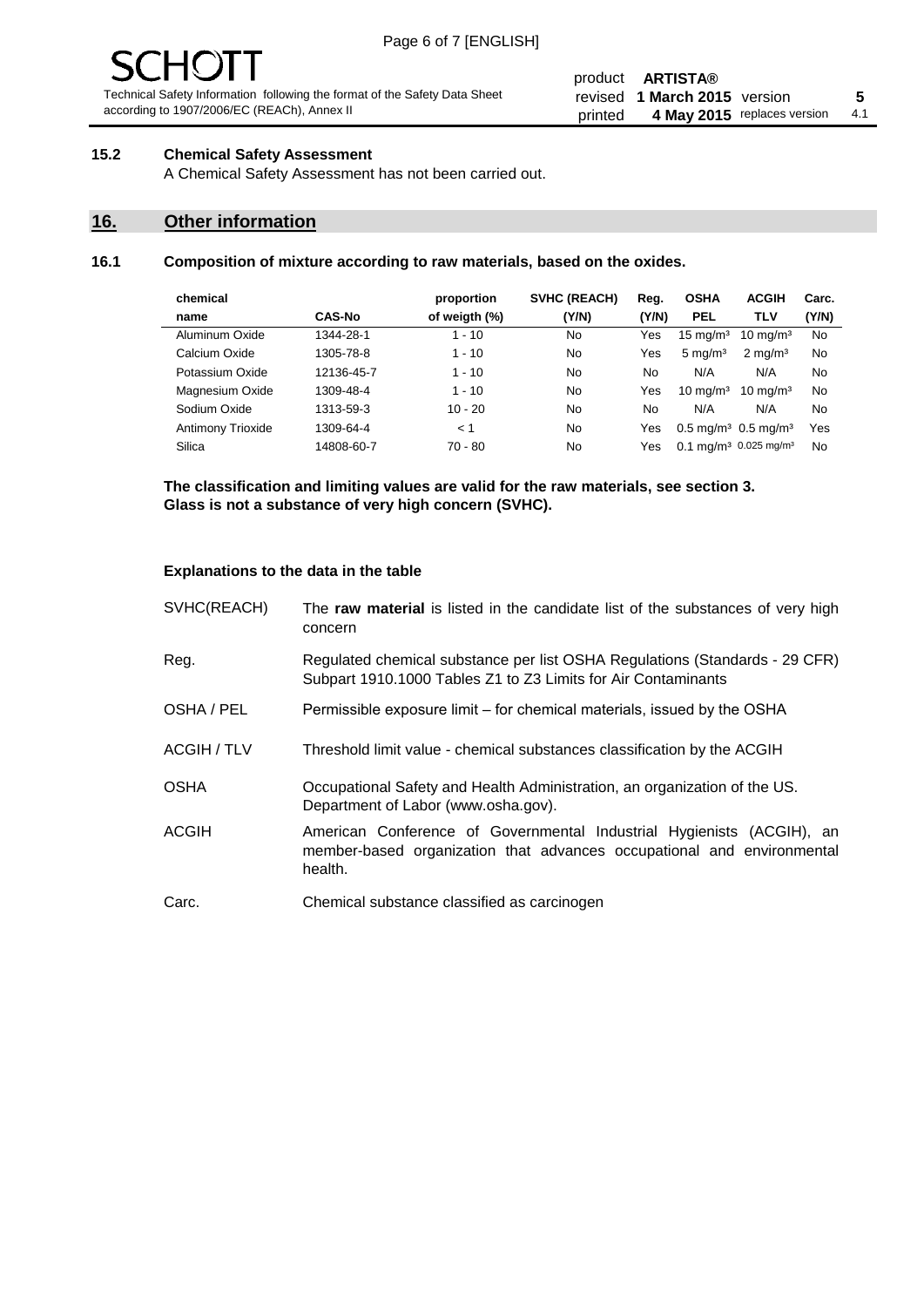# - JF

Technical Safety Information following the format of the Safety Data Sheet according to 1907/2006/EC (REACh), Annex II

#### product **ARTISTA®** revised **5 1 March 2015** version printed 4 May 2015 replaces version 4.1

#### **15.2 Chemical Safety Assessment**

A Chemical Safety Assessment has not been carried out.

#### **16. Other information**

#### **16.1 Composition of mixture according to raw materials, based on the oxides.**

| chemical          |               | proportion    | <b>SVHC (REACH)</b> | Reg.  | <b>OSHA</b>                                   | <b>ACGIH</b>        | Carc. |
|-------------------|---------------|---------------|---------------------|-------|-----------------------------------------------|---------------------|-------|
| name              | <b>CAS-No</b> | of weigth (%) | (Y/N)               | (Y/N) | <b>PEL</b>                                    | <b>TLV</b>          | (Y/N) |
| Aluminum Oxide    | 1344-28-1     | 1 - 10        | No                  | Yes   | $15 \text{ mg/m}^3$                           | $10 \text{ mg/m}^3$ | No    |
| Calcium Oxide     | 1305-78-8     | $1 - 10$      | No                  | Yes   | $5 \text{ mg/m}^3$                            | $2 \text{ mg/m}^3$  | No    |
| Potassium Oxide   | 12136-45-7    | $1 - 10$      | No                  | No    | N/A                                           | N/A                 | No    |
| Magnesium Oxide   | 1309-48-4     | $1 - 10$      | No                  | Yes   | $10 \text{ mg/m}^3$                           | $10 \text{ mg/m}^3$ | No    |
| Sodium Oxide      | 1313-59-3     | $10 - 20$     | No                  | No    | N/A                                           | N/A                 | No    |
| Antimony Trioxide | 1309-64-4     | < 1           | No                  | Yes   | $0.5 \,\mathrm{mq/m^3}$ 0.5 mg/m <sup>3</sup> |                     | Yes   |
| Silica            | 14808-60-7    | 70 - 80       | No                  | Yes   | 0.1 mg/m <sup>3</sup> 0.025 mg/m <sup>3</sup> |                     | No    |
|                   |               |               |                     |       |                                               |                     |       |

**The classification and limiting values are valid for the raw materials, see section 3. Glass is not a substance of very high concern (SVHC).**

#### **Explanations to the data in the table**

| SVHC(REACH)        | The raw material is listed in the candidate list of the substances of very high<br>concern                                                                 |
|--------------------|------------------------------------------------------------------------------------------------------------------------------------------------------------|
| Reg.               | Regulated chemical substance per list OSHA Regulations (Standards - 29 CFR)<br>Subpart 1910.1000 Tables Z1 to Z3 Limits for Air Contaminants               |
| OSHA / PEL         | Permissible exposure limit – for chemical materials, issued by the OSHA                                                                                    |
| <b>ACGIH / TLV</b> | Threshold limit value - chemical substances classification by the ACGIH                                                                                    |
| <b>OSHA</b>        | Occupational Safety and Health Administration, an organization of the US.<br>Department of Labor (www.osha.gov).                                           |
| <b>ACGIH</b>       | American Conference of Governmental Industrial Hygienists (ACGIH), an<br>member-based organization that advances occupational and environmental<br>health. |
| Carc.              | Chemical substance classified as carcinogen                                                                                                                |